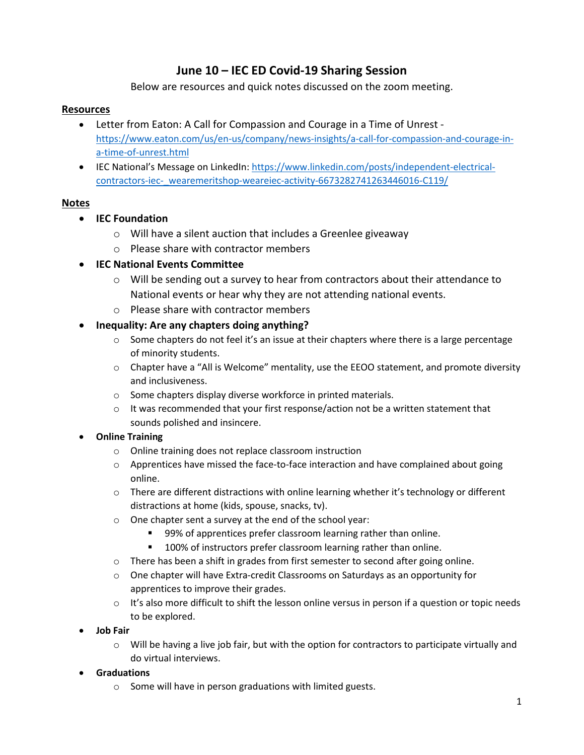## **June 10 – IEC ED Covid-19 Sharing Session**

Below are resources and quick notes discussed on the zoom meeting.

#### **Resources**

- Letter from Eaton: A Call for Compassion and Courage in a Time of Unrest [https://www.eaton.com/us/en-us/company/news-insights/a-call-for-compassion-and-courage-in](https://www.eaton.com/us/en-us/company/news-insights/a-call-for-compassion-and-courage-in-a-time-of-unrest.html)[a-time-of-unrest.html](https://www.eaton.com/us/en-us/company/news-insights/a-call-for-compassion-and-courage-in-a-time-of-unrest.html)
- IEC National's Message on LinkedIn: [https://www.linkedin.com/posts/independent-electrical](https://www.linkedin.com/posts/independent-electrical-contractors-iec-_wearemeritshop-weareiec-activity-6673282741263446016-C119/)[contractors-iec-\\_wearemeritshop-weareiec-activity-6673282741263446016-C119/](https://www.linkedin.com/posts/independent-electrical-contractors-iec-_wearemeritshop-weareiec-activity-6673282741263446016-C119/)

#### **Notes**

- **IEC Foundation**
	- o Will have a silent auction that includes a Greenlee giveaway
	- o Please share with contractor members

#### • **IEC National Events Committee**

- $\circ$  Will be sending out a survey to hear from contractors about their attendance to National events or hear why they are not attending national events.
- o Please share with contractor members
- **Inequality: Are any chapters doing anything?**
	- $\circ$  Some chapters do not feel it's an issue at their chapters where there is a large percentage of minority students.
	- $\circ$  Chapter have a "All is Welcome" mentality, use the EEOO statement, and promote diversity and inclusiveness.
	- o Some chapters display diverse workforce in printed materials.
	- $\circ$  It was recommended that your first response/action not be a written statement that sounds polished and insincere.

#### • **Online Training**

- o Online training does not replace classroom instruction
- $\circ$  Apprentices have missed the face-to-face interaction and have complained about going online.
- $\circ$  There are different distractions with online learning whether it's technology or different distractions at home (kids, spouse, snacks, tv).
- o One chapter sent a survey at the end of the school year:
	- 99% of apprentices prefer classroom learning rather than online.
	- **100% of instructors prefer classroom learning rather than online.**
- $\circ$  There has been a shift in grades from first semester to second after going online.
- o One chapter will have Extra-credit Classrooms on Saturdays as an opportunity for apprentices to improve their grades.
- $\circ$  It's also more difficult to shift the lesson online versus in person if a question or topic needs to be explored.
- **Job Fair**
	- $\circ$  Will be having a live job fair, but with the option for contractors to participate virtually and do virtual interviews.
- **Graduations**
	- o Some will have in person graduations with limited guests.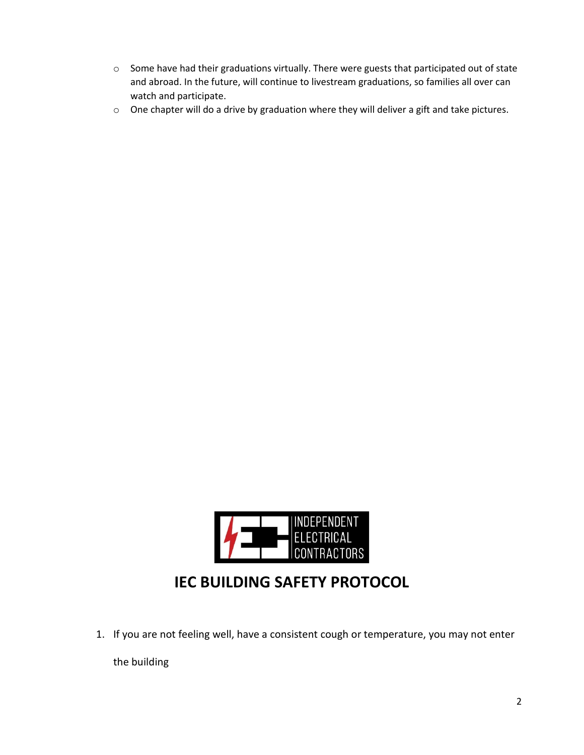- o Some have had their graduations virtually. There were guests that participated out of state and abroad. In the future, will continue to livestream graduations, so families all over can watch and participate.
- o One chapter will do a drive by graduation where they will deliver a gift and take pictures.



# **IEC BUILDING SAFETY PROTOCOL**

1. If you are not feeling well, have a consistent cough or temperature, you may not enter

the building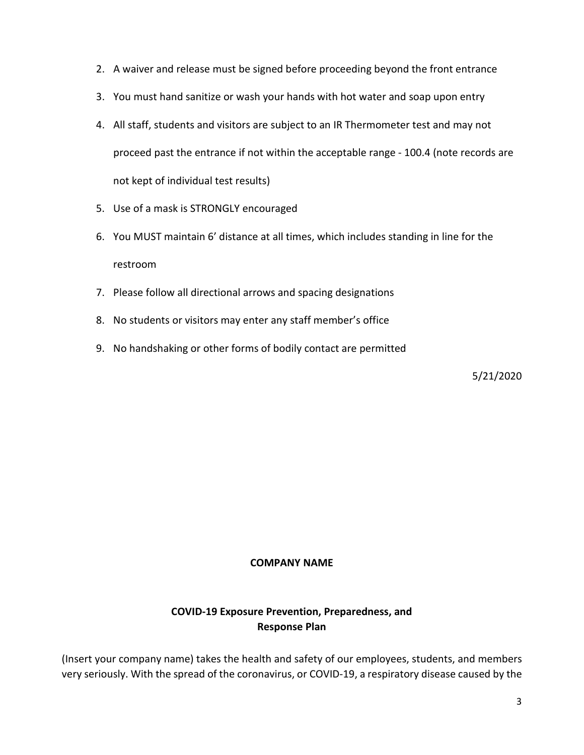- 2. A waiver and release must be signed before proceeding beyond the front entrance
- 3. You must hand sanitize or wash your hands with hot water and soap upon entry
- 4. All staff, students and visitors are subject to an IR Thermometer test and may not proceed past the entrance if not within the acceptable range - 100.4 (note records are not kept of individual test results)
- 5. Use of a mask is STRONGLY encouraged
- 6. You MUST maintain 6' distance at all times, which includes standing in line for the restroom
- 7. Please follow all directional arrows and spacing designations
- 8. No students or visitors may enter any staff member's office
- 9. No handshaking or other forms of bodily contact are permitted

5/21/2020

#### **COMPANY NAME**

## **COVID-19 Exposure Prevention, Preparedness, and Response Plan**

(Insert your company name) takes the health and safety of our employees, students, and members very seriously. With the spread of the coronavirus, or COVID-19, a respiratory disease caused by the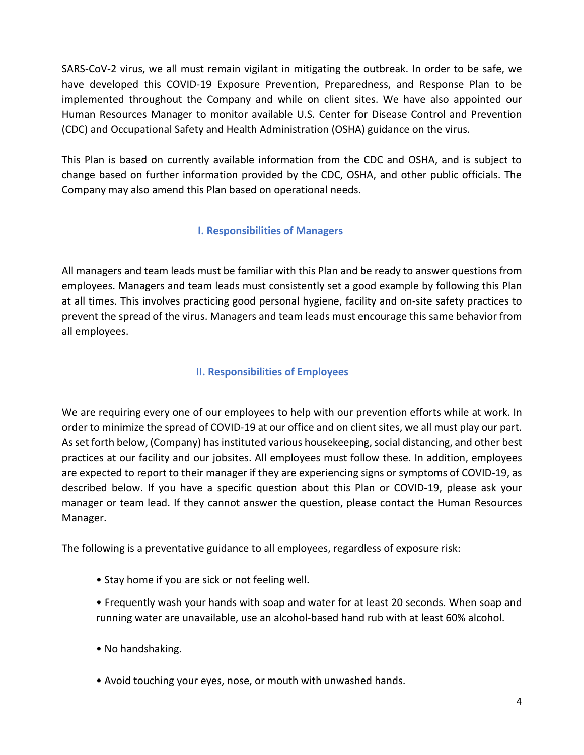SARS-CoV-2 virus, we all must remain vigilant in mitigating the outbreak. In order to be safe, we have developed this COVID-19 Exposure Prevention, Preparedness, and Response Plan to be implemented throughout the Company and while on client sites. We have also appointed our Human Resources Manager to monitor available U.S. Center for Disease Control and Prevention (CDC) and Occupational Safety and Health Administration (OSHA) guidance on the virus.

This Plan is based on currently available information from the CDC and OSHA, and is subject to change based on further information provided by the CDC, OSHA, and other public officials. The Company may also amend this Plan based on operational needs.

## **I. Responsibilities of Managers**

All managers and team leads must be familiar with this Plan and be ready to answer questions from employees. Managers and team leads must consistently set a good example by following this Plan at all times. This involves practicing good personal hygiene, facility and on-site safety practices to prevent the spread of the virus. Managers and team leads must encourage this same behavior from all employees.

## **II. Responsibilities of Employees**

We are requiring every one of our employees to help with our prevention efforts while at work. In order to minimize the spread of COVID-19 at our office and on client sites, we all must play our part. As set forth below, (Company) has instituted various housekeeping, social distancing, and other best practices at our facility and our jobsites. All employees must follow these. In addition, employees are expected to report to their manager if they are experiencing signs or symptoms of COVID-19, as described below. If you have a specific question about this Plan or COVID-19, please ask your manager or team lead. If they cannot answer the question, please contact the Human Resources Manager.

The following is a preventative guidance to all employees, regardless of exposure risk:

- Stay home if you are sick or not feeling well.
- Frequently wash your hands with soap and water for at least 20 seconds. When soap and running water are unavailable, use an alcohol-based hand rub with at least 60% alcohol.
- No handshaking.
- Avoid touching your eyes, nose, or mouth with unwashed hands.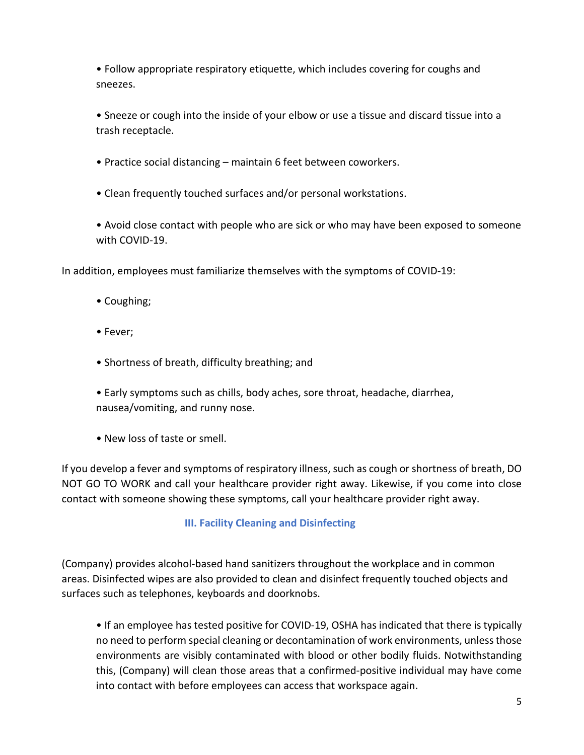• Follow appropriate respiratory etiquette, which includes covering for coughs and sneezes.

• Sneeze or cough into the inside of your elbow or use a tissue and discard tissue into a trash receptacle.

- Practice social distancing maintain 6 feet between coworkers.
- Clean frequently touched surfaces and/or personal workstations.

• Avoid close contact with people who are sick or who may have been exposed to someone with COVID-19.

In addition, employees must familiarize themselves with the symptoms of COVID-19:

- Coughing;
- Fever;
- Shortness of breath, difficulty breathing; and
- Early symptoms such as chills, body aches, sore throat, headache, diarrhea, nausea/vomiting, and runny nose.
- New loss of taste or smell.

If you develop a fever and symptoms of respiratory illness, such as cough or shortness of breath, DO NOT GO TO WORK and call your healthcare provider right away. Likewise, if you come into close contact with someone showing these symptoms, call your healthcare provider right away.

## **III. Facility Cleaning and Disinfecting**

(Company) provides alcohol-based hand sanitizers throughout the workplace and in common areas. Disinfected wipes are also provided to clean and disinfect frequently touched objects and surfaces such as telephones, keyboards and doorknobs.

• If an employee has tested positive for COVID-19, OSHA has indicated that there is typically no need to perform special cleaning or decontamination of work environments, unless those environments are visibly contaminated with blood or other bodily fluids. Notwithstanding this, (Company) will clean those areas that a confirmed-positive individual may have come into contact with before employees can access that workspace again.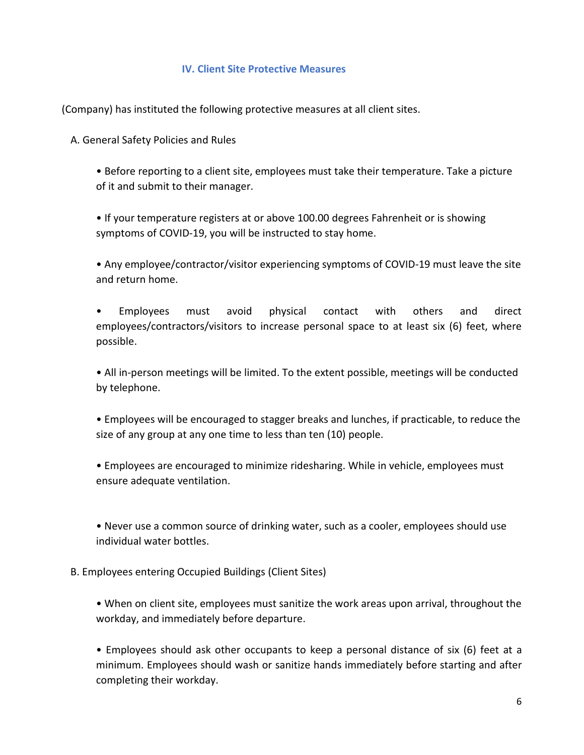#### **IV. Client Site Protective Measures**

(Company) has instituted the following protective measures at all client sites.

A. General Safety Policies and Rules

• Before reporting to a client site, employees must take their temperature. Take a picture of it and submit to their manager.

• If your temperature registers at or above 100.00 degrees Fahrenheit or is showing symptoms of COVID-19, you will be instructed to stay home.

• Any employee/contractor/visitor experiencing symptoms of COVID-19 must leave the site and return home.

• Employees must avoid physical contact with others and direct employees/contractors/visitors to increase personal space to at least six (6) feet, where possible.

• All in-person meetings will be limited. To the extent possible, meetings will be conducted by telephone.

• Employees will be encouraged to stagger breaks and lunches, if practicable, to reduce the size of any group at any one time to less than ten (10) people.

• Employees are encouraged to minimize ridesharing. While in vehicle, employees must ensure adequate ventilation.

• Never use a common source of drinking water, such as a cooler, employees should use individual water bottles.

B. Employees entering Occupied Buildings (Client Sites)

• When on client site, employees must sanitize the work areas upon arrival, throughout the workday, and immediately before departure.

• Employees should ask other occupants to keep a personal distance of six (6) feet at a minimum. Employees should wash or sanitize hands immediately before starting and after completing their workday.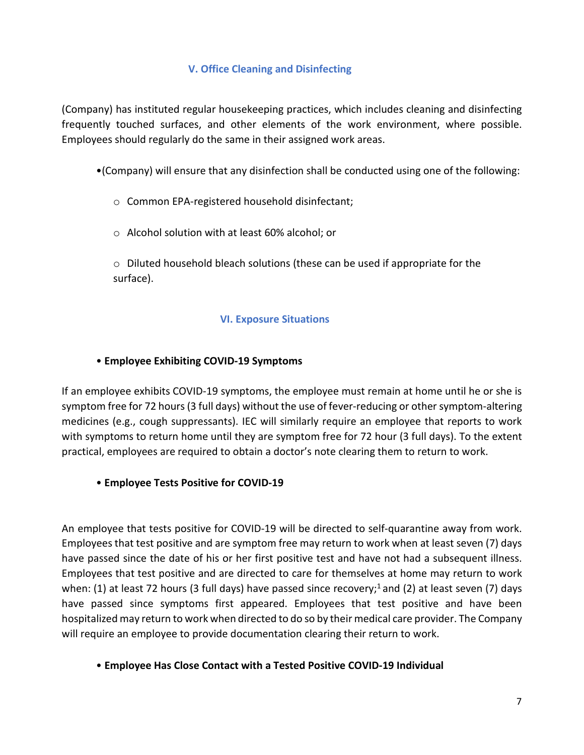#### **V. Office Cleaning and Disinfecting**

(Company) has instituted regular housekeeping practices, which includes cleaning and disinfecting frequently touched surfaces, and other elements of the work environment, where possible. Employees should regularly do the same in their assigned work areas.

•(Company) will ensure that any disinfection shall be conducted using one of the following:

## o Common EPA-registered household disinfectant;

o Alcohol solution with at least 60% alcohol; or

 $\circ$  Diluted household bleach solutions (these can be used if appropriate for the surface).

#### **VI. Exposure Situations**

#### • **Employee Exhibiting COVID-19 Symptoms**

If an employee exhibits COVID-19 symptoms, the employee must remain at home until he or she is symptom free for 72 hours (3 full days) without the use of fever-reducing or other symptom-altering medicines (e.g., cough suppressants). IEC will similarly require an employee that reports to work with symptoms to return home until they are symptom free for 72 hour (3 full days). To the extent practical, employees are required to obtain a doctor's note clearing them to return to work.

## • **Employee Tests Positive for COVID-19**

An employee that tests positive for COVID-19 will be directed to self-quarantine away from work. Employees that test positive and are symptom free may return to work when at least seven (7) days have passed since the date of his or her first positive test and have not had a subsequent illness. Employees that test positive and are directed to care for themselves at home may return to work when: (1) at least 72 hours (3 full days) have passed since recovery;<sup>1</sup> and (2) at least seven (7) days have passed since symptoms first appeared. Employees that test positive and have been hospitalized may return to work when directed to do so by their medical care provider. The Company will require an employee to provide documentation clearing their return to work.

#### • **Employee Has Close Contact with a Tested Positive COVID-19 Individual**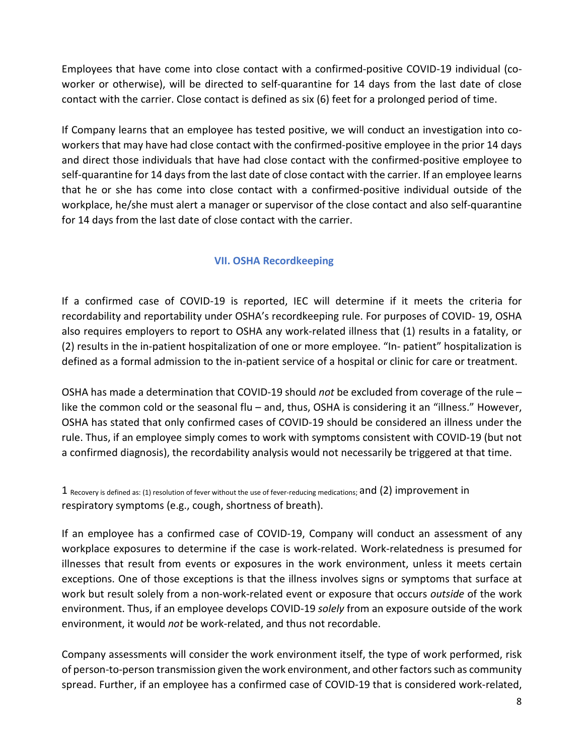Employees that have come into close contact with a confirmed-positive COVID-19 individual (coworker or otherwise), will be directed to self-quarantine for 14 days from the last date of close contact with the carrier. Close contact is defined as six (6) feet for a prolonged period of time.

If Company learns that an employee has tested positive, we will conduct an investigation into coworkers that may have had close contact with the confirmed-positive employee in the prior 14 days and direct those individuals that have had close contact with the confirmed-positive employee to self-quarantine for 14 days from the last date of close contact with the carrier. If an employee learns that he or she has come into close contact with a confirmed-positive individual outside of the workplace, he/she must alert a manager or supervisor of the close contact and also self-quarantine for 14 days from the last date of close contact with the carrier.

## **VII. OSHA Recordkeeping**

If a confirmed case of COVID-19 is reported, IEC will determine if it meets the criteria for recordability and reportability under OSHA's recordkeeping rule. For purposes of COVID- 19, OSHA also requires employers to report to OSHA any work-related illness that (1) results in a fatality, or (2) results in the in-patient hospitalization of one or more employee. "In- patient" hospitalization is defined as a formal admission to the in-patient service of a hospital or clinic for care or treatment.

OSHA has made a determination that COVID-19 should *not* be excluded from coverage of the rule – like the common cold or the seasonal flu – and, thus, OSHA is considering it an "illness." However, OSHA has stated that only confirmed cases of COVID-19 should be considered an illness under the rule. Thus, if an employee simply comes to work with symptoms consistent with COVID-19 (but not a confirmed diagnosis), the recordability analysis would not necessarily be triggered at that time.

 $1$  Recovery is defined as: (1) resolution of fever without the use of fever-reducing medications; and  $(2)$  improvement in respiratory symptoms (e.g., cough, shortness of breath).

If an employee has a confirmed case of COVID-19, Company will conduct an assessment of any workplace exposures to determine if the case is work-related. Work-relatedness is presumed for illnesses that result from events or exposures in the work environment, unless it meets certain exceptions. One of those exceptions is that the illness involves signs or symptoms that surface at work but result solely from a non-work-related event or exposure that occurs *outside* of the work environment. Thus, if an employee develops COVID-19 *solely* from an exposure outside of the work environment, it would *not* be work-related, and thus not recordable.

Company assessments will consider the work environment itself, the type of work performed, risk of person-to-person transmission given the work environment, and other factors such as community spread. Further, if an employee has a confirmed case of COVID-19 that is considered work-related,